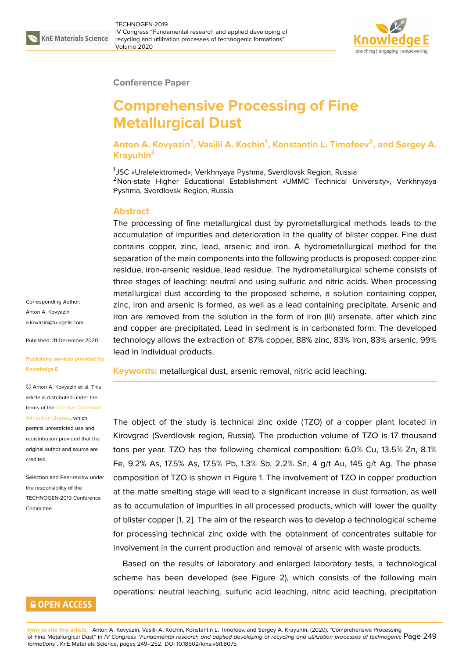

#### **Conference Paper**

# **Comprehensive Processing of Fine Metallurgical Dust**

**Anton A. Kovyazin<sup>1</sup> , Vasilii A. Kochin<sup>1</sup> , Konstantin L. Timofeev<sup>2</sup> , and Sergey A. Krayuhin<sup>2</sup>**

1 JSC «Uralelektromed», Verkhnyaya Pyshma, Sverdlovsk Region, Russia <sup>2</sup>Non-state Higher Educational Establishment «UMMC Technical University», Verkhnyaya Pyshma, Sverdlovsk Region, Russia

### **Abstract**

The processing of fine metallurgical dust by pyrometallurgical methods leads to the accumulation of impurities and deterioration in the quality of blister copper. Fine dust contains copper, zinc, lead, arsenic and iron. A hydrometallurgical method for the separation of the main components into the following products is proposed: copper-zinc residue, iron-arsenic residue, lead residue. The hydrometallurgical scheme consists of three stages of leaching: neutral and using sulfuric and nitric acids. When processing metallurgical dust according to the proposed scheme, a solution containing copper, zinc, iron and arsenic is formed, as well as a lead containing precipitate. Arsenic and iron are removed from the solution in the form of iron (III) arsenate, after which zinc and copper are precipitated. Lead in sediment is in carbonated form. The developed technology allows the extraction of: 87% copper, 88% zinc, 83% iron, 83% arsenic, 99% lead in individual products.

**Keywords:** metallurgical dust, arsenic removal, nitric acid leaching.

The object of the study is technical zinc oxide (TZO) of a copper plant located in Kirovgrad (Sverdlovsk region, Russia). The production volume of TZO is 17 thousand tons per year. TZO has the following chemical composition: 6.0% Cu, 13.5% Zn, 8.1% Fe, 9.2% As, 17.5% As, 17.5% Pb, 1.3% Sb, 2.2% Sn, 4 g/t Au, 145 g/t Ag. The phase composition of TZO is shown in Figure 1. The involvement of TZO in copper production at the matte smelting stage will lead to a significant increase in dust formation, as well as to accumulation of impurities in all processed products, which will lower the quality of blister copper [1, 2]. The aim of the r[es](#page-1-0)earch was to develop a technological scheme for processing technical zinc oxide with the obtainment of concentrates suitable for involvement in the current production and removal of arsenic with waste products.

Based on the [re](#page-2-0)[su](#page-3-0)lts of laboratory and enlarged laboratory tests, a technological scheme has been developed (see Figure 2), which consists of the following main operations: neutral leaching, sulfuric acid leaching, nitric acid leaching, precipitation

Corresponding Author: Anton A. Kovyazin a.kovazin@tu-ugmk.com

Published: 31 December 2020

**[Publishing services prov](mailto:a.kovazin@tu-ugmk.com)ided by Knowledge E**

Anton A. Kovyazin et al. This article is distributed under the terms of the Creative Commons Attribution License, which

permits unrestricted use and redistribution provided that the original auth[or and source are](https://creativecommons.org/licenses/by/4.0/) [credited.](https://creativecommons.org/licenses/by/4.0/)

Selection and Peer-review under the responsibility of the TECHNOGEN-2019 Conference Committee.

## **GOPEN ACCESS**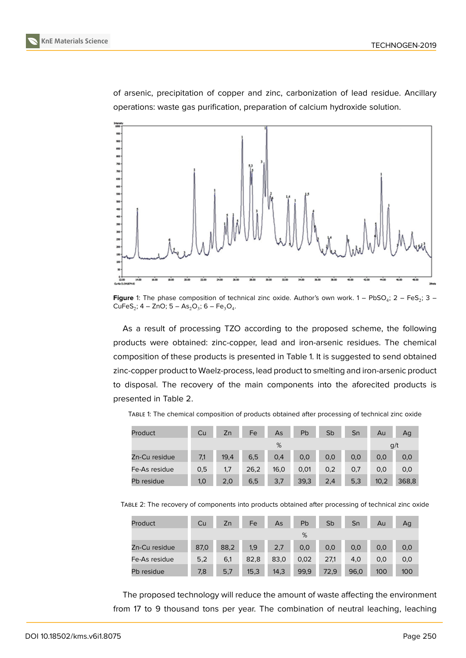



of arsenic, precipitation of copper and zinc, carbonization of lead residue. Ancillary operations: waste gas purification, preparation of calcium hydroxide solution.



<span id="page-1-0"></span>**Figure** 1: The phase composition of technical zinc oxide. Author's own work.  $1 - \text{PbSO}_4$ ;  $2 - \text{FeS}_2$ ;  $3 CuFeS_2$ ; 4 – ZnO; 5 – As<sub>2</sub>O<sub>3</sub>; 6 – Fe<sub>3</sub>O<sub>4</sub>.

As a result of processing TZO according to the proposed scheme, the following products were obtained: zinc-copper, lead and iron-arsenic residues. The chemical composition of these products is presented in Table 1. It is suggested to send obtained zinc-copper product to Waelz-process, lead product to smelting and iron-arsenic product to disposal. The recovery of the main components into the aforecited products is presented in Table 2.

| Product       | Cu  | Zn   | Fe   | As   | Pb   | Sb  | Sn  | Au   | Ag    |
|---------------|-----|------|------|------|------|-----|-----|------|-------|
|               |     |      |      | %    |      |     |     |      | g/t   |
| Zn-Cu residue | 7,1 | 19,4 | 6,5  | 0,4  | 0,0  | 0,0 | 0,0 | 0,0  | 0,0   |
| Fe-As residue | 0,5 | 1,7  | 26,2 | 16,0 | 0,01 | 0,2 | 0,7 | 0,0  | 0,0   |
| Pb residue    | 1,0 | 2,0  | 6,5  | 3,7  | 39,3 | 2,4 | 5,3 | 10,2 | 368,8 |

TABLE 1: The chemical composition of products obtained after processing of technical zinc oxide

TABLE 2: The recovery of components into products obtained after processing of technical zinc oxide

| Product       | Cu   | Zn   | Fe   | As   | Pb   | Sb   | Sn   | Au  | Ag  |
|---------------|------|------|------|------|------|------|------|-----|-----|
|               |      |      |      |      | %    |      |      |     |     |
| Zn-Cu residue | 87,0 | 88,2 | 1,9  | 2,7  | 0,0  | 0,0  | 0,0  | 0,0 | 0,0 |
| Fe-As residue | 5,2  | 6,1  | 82,8 | 83,0 | 0,02 | 27,1 | 4,0  | 0,0 | 0,0 |
| Pb residue    | 7,8  | 5,7  | 15,3 | 14,3 | 99,9 | 72,9 | 96,0 | 100 | 100 |

The proposed technology will reduce the amount of waste affecting the environment from 17 to 9 thousand tons per year. The combination of neutral leaching, leaching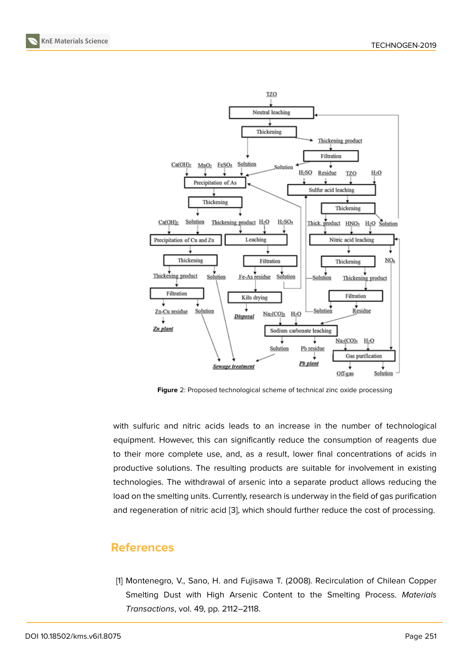

**Figure** 2: Proposed technological scheme of technical zinc oxide processing

with sulfuric and nitric acids leads to an increase in the number of technological equipment. However, this can significantly reduce the consumption of reagents due to their more complete use, and, as a result, lower final concentrations of acids in productive solutions. The resulting products are suitable for involvement in existing technologies. The withdrawal of arsenic into a separate product allows reducing the load on the smelting units. Currently, research is underway in the field of gas purification and regeneration of nitric acid [3], which should further reduce the cost of processing.

## **References**

<span id="page-2-0"></span>[1] Montenegro, V., Sano, H. and Fujisawa T. (2008). Recirculation of Chilean Copper Smelting Dust with High Arsenic Content to the Smelting Process. *Materials Transactions*, vol. 49, pp. 2112–2118.